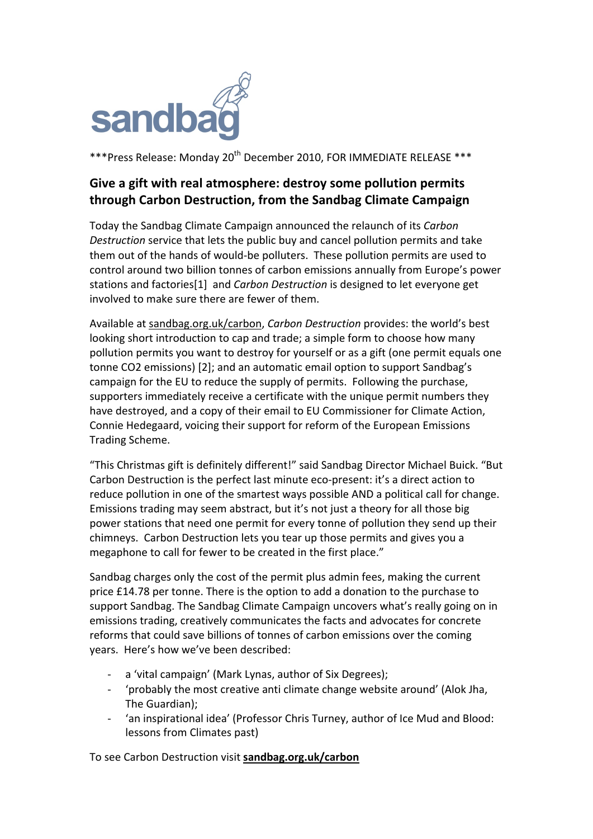

\*\*\*Press Release: Monday 20<sup>th</sup> December 2010, FOR IMMEDIATE RELEASE \*\*\*

## Give a gift with real atmosphere: destroy some pollution permits **through%Carbon%Destruction,%from%the%Sandbag%Climate%Campaign**

Today the Sandbag Climate Campaign announced the relaunch of its Carbon *Destruction* service that lets the public buy and cancel pollution permits and take them out of the hands of would-be polluters. These pollution permits are used to control around two billion tonnes of carbon emissions annually from Europe's power stations and factories<sup>[1]</sup> and *Carbon Destruction* is designed to let everyone get involved to make sure there are fewer of them.

Available at sandbag.org.uk/carbon, *Carbon Destruction* provides: the world's best looking short introduction to cap and trade; a simple form to choose how many pollution permits you want to destroy for yourself or as a gift (one permit equals one tonne CO2 emissions) [2]; and an automatic email option to support Sandbag's campaign for the EU to reduce the supply of permits. Following the purchase, supporters immediately receive a certificate with the unique permit numbers they have destroyed, and a copy of their email to EU Commissioner for Climate Action, Connie Hedegaard, voicing their support for reform of the European Emissions Trading Scheme.

"This Christmas gift is definitely different!" said Sandbag Director Michael Buick. "But Carbon Destruction is the perfect last minute eco-present: it's a direct action to reduce pollution in one of the smartest ways possible AND a political call for change. Emissions trading may seem abstract, but it's not just a theory for all those big power stations that need one permit for every tonne of pollution they send up their chimneys. Carbon Destruction lets you tear up those permits and gives you a megaphone to call for fewer to be created in the first place."

Sandbag charges only the cost of the permit plus admin fees, making the current price  $£14.78$  per tonne. There is the option to add a donation to the purchase to support Sandbag. The Sandbag Climate Campaign uncovers what's really going on in emissions trading, creatively communicates the facts and advocates for concrete reforms that could save billions of tonnes of carbon emissions over the coming years. Here's how we've been described:

- a 'vital campaign' (Mark Lynas, author of Six Degrees);
- 'probably the most creative anti climate change website around' (Alok Jha, The Guardian);
- 'an inspirational idea' (Professor Chris Turney, author of Ice Mud and Blood: lessons from Climates past)

To see Carbon Destruction visit sandbag.org.uk/carbon